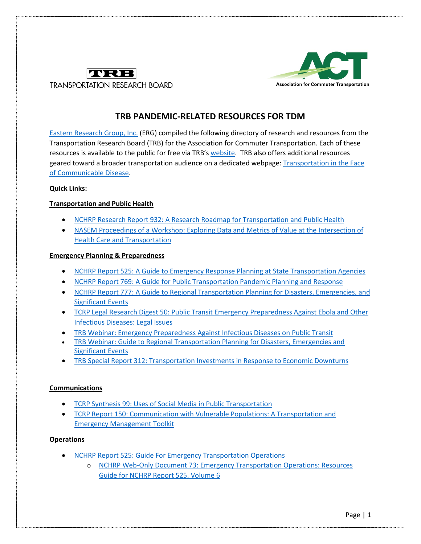



## **TRB PANDEMIC-RELATED RESOURCES FOR TDM**

[Eastern Research Group, Inc.](http://www.erg.com/) (ERG) compiled the following directory of research and resources from the Transportation Research Board (TRB) for the Association for Commuter Transportation. Each of these resources is available to the public for free via TRB'[s website.](http://www.trb.org/) TRB also offers additional resources geared toward a broader transportation audience on a dedicated webpage: [Transportation in the Face](https://www.nationalacademies.org/trb/blog/transportation-in-the-face-of-communicable-disease)  [of Communicable Disease.](https://www.nationalacademies.org/trb/blog/transportation-in-the-face-of-communicable-disease)

#### **Quick Links:**

### **Transportation and Public Health**

- [NCHRP Research Report 932: A Research Roadmap for Transportation](https://www.nap.edu/catalog/25644/a-research-roadmap-for-transportation-and-public-healthhttps:/www.nap.edu/catalog/25644/a-research-roadmap-for-transportation-and-public-health) and Public Health
- [NASEM Proceedings of a Workshop: Exploring Data and Metrics of Value at the Intersection of](https://www.nap.edu/catalog/23638/exploring-data-and-metrics-of-value-at-the-intersection-of-health-care-and-transportation)  [Health Care and Transportation](https://www.nap.edu/catalog/23638/exploring-data-and-metrics-of-value-at-the-intersection-of-health-care-and-transportation)

#### **Emergency Planning & Preparedness**

- [NCHRP Report 525: A Guide to Emergency Response Planning at State Transportation Agencies](https://www.nap.edu/catalog/14469/a-guide-to-emergency-response-planning-at-state-transportation-agencies)
- [NCHRP Report 769: A Guide for Public Transportation Pandemic Planning and Response](https://www.nap.edu/catalog/22414/a-guide-for-public-transportation-pandemic-planning-and-response)
- [NCHRP Report 777: A Guide to Regional Transportation Planning for Disasters, Emergencies, and](https://www.nap.edu/catalog/22338/a-guide-to-regional-transportation-planning-for-disasters-emergencies-and-significant-events)  [Significant Events](https://www.nap.edu/catalog/22338/a-guide-to-regional-transportation-planning-for-disasters-emergencies-and-significant-events)
- [TCRP Legal Research Digest 50: Public Transit Emergency Preparedness Against Ebola and Other](https://www.nap.edu/catalog/24795/public-transit-emergency-preparedness-against-ebola-and-other-infectious-diseases-legal-issues)  [Infectious Diseases: Legal Issues](https://www.nap.edu/catalog/24795/public-transit-emergency-preparedness-against-ebola-and-other-infectious-diseases-legal-issues)
- [TRB Webinar: Emergency Preparedness Against Infectious Diseases on Public Transit](http://www.trb.org/PublicTransportation/Blurbs/177792.aspx)
- [TRB Webinar: Guide to Regional Transportation Planning for Disasters, Emergencies and](http://www.trb.org/PublicTransportation/Blurbs/171696.aspx)  [Significant Events](http://www.trb.org/PublicTransportation/Blurbs/171696.aspx)
- [TRB Special Report 312: Transportation Investments in Response to Economic Downturns](https://www.nap.edu/catalog/18628/transportation-investments-in-response-to-economic-downturns)

#### **Communications**

- [TCRP Synthesis 99: Uses of Social Media in Public Transportation](https://www.nap.edu/catalog/14666/uses-of-social-media-in-public-transportation)
- TCRP Report 150: [Communication with Vulnerable Populations: A Transportation and](https://www.nap.edu/catalog/22845/communication-with-vulnerable-populations-a-transportation-and-emergency-management-toolkit)  [Emergency Management Toolkit](https://www.nap.edu/catalog/22845/communication-with-vulnerable-populations-a-transportation-and-emergency-management-toolkit)

#### **Operations**

- [NCHRP Report 525: Guide For Emergency Transportation Operations](https://www.nap.edu/catalog/13857/guide-for-emergency-transportation-operations)
	- o [NCHRP Web-Only Document 73: Emergency Transportation Operations: Resources](https://www.nap.edu/catalog/21977/emergency-transportation-operations-resources-guide-for-nchrp-report-525-volume-6)  [Guide for NCHRP Report 525, Volume 6](https://www.nap.edu/catalog/21977/emergency-transportation-operations-resources-guide-for-nchrp-report-525-volume-6)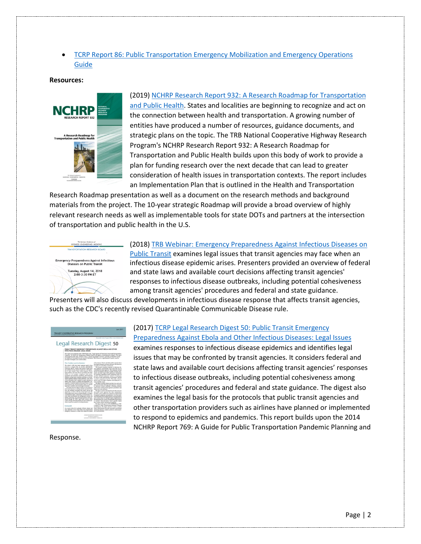• [TCRP Report 86: Public Transportation Emergency Mobilization and Emergency Operations](https://www.nap.edu/catalog/23305/public-transportation-emergency-mobilization-and-emergency-operations-guide)  [Guide](https://www.nap.edu/catalog/23305/public-transportation-emergency-mobilization-and-emergency-operations-guide)

#### **Resources:**



(2019[\) NCHRP Research Report 932: A Research Roadmap for Transportation](https://www.nap.edu/catalog/25644/a-research-roadmap-for-transportation-and-public-healthhttps:/www.nap.edu/catalog/25644/a-research-roadmap-for-transportation-and-public-health) [and Public Health.](https://www.nap.edu/catalog/25644/a-research-roadmap-for-transportation-and-public-healthhttps:/www.nap.edu/catalog/25644/a-research-roadmap-for-transportation-and-public-health) States and localities are beginning to recognize and act on the connection between health and transportation. A growing number of entities have produced a number of resources, guidance documents, and strategic plans on the topic. The TRB National Cooperative Highway Research Program's NCHRP Research Report 932: A Research Roadmap for Transportation and Public Health builds upon this body of work to provide a plan for funding research over the next decade that can lead to greater consideration of health issues in transportation contexts. The report includes an Implementation Plan that is outlined in the Health and Transportation

Research Roadmap presentation as well as a document on the research methods and background materials from the project. The 10-year strategic Roadmap will provide a broad overview of highly relevant research needs as well as implementable tools for state DOTs and partners at the intersection of transportation and public health in the U.S.



### (2018[\) TRB Webinar: Emergency Preparedness Against Infectious Diseases on](http://www.trb.org/PublicTransportation/Blurbs/177792.aspx)  [Public Transit](http://www.trb.org/PublicTransportation/Blurbs/177792.aspx) examines legal issues that transit agencies may face when an infectious disease epidemic arises. Presenters provided an overview of federal and state laws and available court decisions affecting transit agencies' responses to infectious disease outbreaks, including potential cohesiveness among transit agencies' procedures and federal and state guidance.

Presenters will also discuss developments in infectious disease response that affects transit agencies, such as the CDC's recently revised Quarantinable Communicable Disease rule.



## (2017[\) TCRP Legal Research Digest 50: Public Transit Emergency](https://www.nap.edu/catalog/24795/public-transit-emergency-preparedness-against-ebola-and-other-infectious-diseases-legal-issues)

[Preparedness Against Ebola and Other Infectious Diseases: Legal Issues](https://www.nap.edu/catalog/24795/public-transit-emergency-preparedness-against-ebola-and-other-infectious-diseases-legal-issues) examines responses to infectious disease epidemics and identifies legal issues that may be confronted by transit agencies. It considers federal and state laws and available court decisions affecting transit agencies' responses to infectious disease outbreaks, including potential cohesiveness among transit agencies' procedures and federal and state guidance. The digest also examines the legal basis for the protocols that public transit agencies and other transportation providers such as airlines have planned or implemented to respond to epidemics and pandemics. This report builds upon the 2014 NCHRP Report 769: A Guide for Public Transportation Pandemic Planning and

#### Response.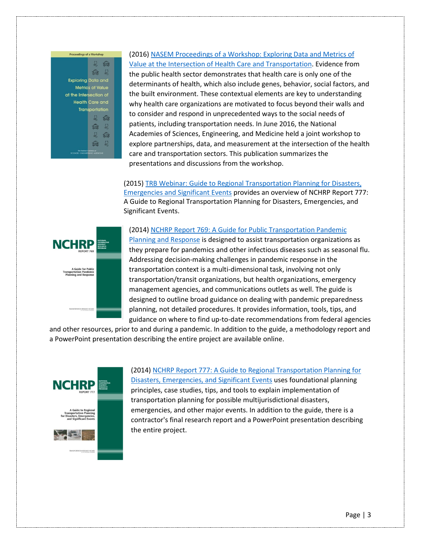

# (2016) [NASEM Proceedings of a Workshop: Exploring Data and Metrics of](https://www.nap.edu/catalog/23638/exploring-data-and-metrics-of-value-at-the-intersection-of-health-care-and-transportation)

[Value at the Intersection of Health Care and Transportation.](https://www.nap.edu/catalog/23638/exploring-data-and-metrics-of-value-at-the-intersection-of-health-care-and-transportation) Evidence from the public health sector demonstrates that health care is only one of the determinants of health, which also include genes, behavior, social factors, and the built environment. These contextual elements are key to understanding why health care organizations are motivated to focus beyond their walls and to consider and respond in unprecedented ways to the social needs of patients, including transportation needs. In June 2016, the National Academies of Sciences, Engineering, and Medicine held a joint workshop to explore partnerships, data, and measurement at the intersection of the health care and transportation sectors. This publication summarizes the presentations and discussions from the workshop.

(2015[\) TRB Webinar: Guide to Regional Transportation Planning for Disasters,](http://www.trb.org/PublicTransportation/Blurbs/171696.aspx)  [Emergencies and Significant Events](http://www.trb.org/PublicTransportation/Blurbs/171696.aspx) provides an overview of NCHRP Report 777: A Guide to Regional Transportation Planning for Disasters, Emergencies, and Significant Events.



(2014) [NCHRP Report 769: A Guide for Public Transportation Pandemic](https://www.nap.edu/catalog/22414/a-guide-for-public-transportation-pandemic-planning-and-response)  [Planning and Response](https://www.nap.edu/catalog/22414/a-guide-for-public-transportation-pandemic-planning-and-response) is designed to assist transportation organizations as they prepare for pandemics and other infectious diseases such as seasonal flu. Addressing decision-making challenges in pandemic response in the transportation context is a multi-dimensional task, involving not only transportation/transit organizations, but health organizations, emergency management agencies, and communications outlets as well. The guide is designed to outline broad guidance on dealing with pandemic preparedness planning, not detailed procedures. It provides information, tools, tips, and guidance on where to find up-to-date recommendations from federal agencies

and other resources, prior to and during a pandemic. In addition to the guide, a methodology report and a PowerPoint presentation describing the entire project are available online.



(2014) [NCHRP Report 777: A Guide to Regional Transportation Planning for](https://www.nap.edu/catalog/22338/a-guide-to-regional-transportation-planning-for-disasters-emergencies-and-significant-events)  [Disasters, Emergencies, and Significant Events](https://www.nap.edu/catalog/22338/a-guide-to-regional-transportation-planning-for-disasters-emergencies-and-significant-events) uses foundational planning principles, case studies, tips, and tools to explain implementation of transportation planning for possible multijurisdictional disasters, emergencies, and other major events. In addition to the guide, there is a contractor's final research report and a PowerPoint presentation describing the entire project.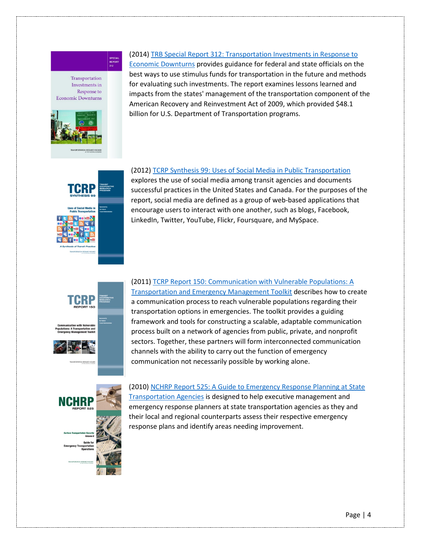#### Transportation Investments in Response to **Economic Downturns**

SPECIAL<br>REPORT<br>312



## (2014[\) TRB Special Report 312: Transportation Investments in Response to](https://www.nap.edu/catalog/18628/transportation-investments-in-response-to-economic-downturns)

[Economic Downturns](https://www.nap.edu/catalog/18628/transportation-investments-in-response-to-economic-downturns) provides guidance for federal and state officials on the best ways to use stimulus funds for transportation in the future and methods for evaluating such investments. The report examines lessons learned and impacts from the states' management of the transportation component of the American Recovery and Reinvestment Act of 2009, which provided \$48.1 billion for U.S. Department of Transportation programs.



(2012) [TCRP Synthesis 99: Uses of Social Media in Public Transportation](https://www.nap.edu/catalog/14666/uses-of-social-media-in-public-transportation)

explores the use of social media among transit agencies and documents successful practices in the United States and Canada. For the purposes of the report, social media are defined as a group of web-based applications that encourage users to interact with one another, such as blogs, Facebook, LinkedIn, Twitter, YouTube, Flickr, Foursquare, and MySpace.

(2011) [TCRP Report 150: Communication with Vulnerable Populations: A](https://www.nap.edu/catalog/22845/communication-with-vulnerable-populations-a-transportation-and-emergency-management-toolkit)  [Transportation and Emergency Management Toolkit](https://www.nap.edu/catalog/22845/communication-with-vulnerable-populations-a-transportation-and-emergency-management-toolkit) describes how to create a communication process to reach vulnerable populations regarding their transportation options in emergencies. The toolkit provides a guiding framework and tools for constructing a scalable, adaptable communication process built on a network of agencies from public, private, and nonprofit sectors. Together, these partners will form interconnected communication channels with the ability to carry out the function of emergency communication not necessarily possible by working alone.



(2010) [NCHRP Report 525: A Guide to Emergency Response Planning at State](https://www.nap.edu/catalog/14469/a-guide-to-emergency-response-planning-at-state-transportation-agencies)  [Transportation Agencies](https://www.nap.edu/catalog/14469/a-guide-to-emergency-response-planning-at-state-transportation-agencies) is designed to help executive management and emergency response planners at state transportation agencies as they and their local and regional counterparts assess their respective emergency response plans and identify areas needing improvement.